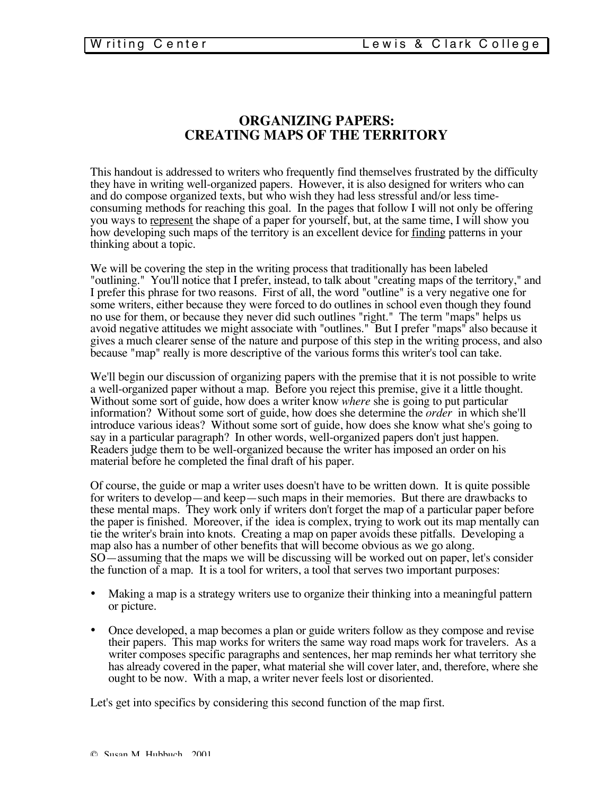# **ORGANIZING PAPERS: CREATING MAPS OF THE TERRITORY**

This handout is addressed to writers who frequently find themselves frustrated by the difficulty they have in writing well-organized papers. However, it is also designed for writers who can and do compose organized texts, but who wish they had less stressful and/or less timeconsuming methods for reaching this goal. In the pages that follow I will not only be offering you ways to represent the shape of a paper for yourself, but, at the same time, I will show you how developing such maps of the territory is an excellent device for finding patterns in your thinking about a topic.

We will be covering the step in the writing process that traditionally has been labeled "outlining." You'll notice that I prefer, instead, to talk about "creating maps of the territory," and I prefer this phrase for two reasons. First of all, the word "outline" is a very negative one for some writers, either because they were forced to do outlines in school even though they found no use for them, or because they never did such outlines "right." The term "maps" helps us avoid negative attitudes we might associate with "outlines." But I prefer "maps" also because it gives a much clearer sense of the nature and purpose of this step in the writing process, and also because "map" really is more descriptive of the various forms this writer's tool can take.

We'll begin our discussion of organizing papers with the premise that it is not possible to write a well-organized paper without a map. Before you reject this premise, give it a little thought. Without some sort of guide, how does a writer know *where* she is going to put particular information? Without some sort of guide, how does she determine the *order* in which she'll introduce various ideas? Without some sort of guide, how does she know what she's going to say in a particular paragraph? In other words, well-organized papers don't just happen. Readers judge them to be well-organized because the writer has imposed an order on his material before he completed the final draft of his paper.

Of course, the guide or map a writer uses doesn't have to be written down. It is quite possible for writers to develop—and keep—such maps in their memories. But there are drawbacks to these mental maps. They work only if writers don't forget the map of a particular paper before the paper is finished. Moreover, if the idea is complex, trying to work out its map mentally can tie the writer's brain into knots. Creating a map on paper avoids these pitfalls. Developing a map also has a number of other benefits that will become obvious as we go along. SO—assuming that the maps we will be discussing will be worked out on paper, let's consider the function of a map. It is a tool for writers, a tool that serves two important purposes:

- Making a map is a strategy writers use to organize their thinking into a meaningful pattern or picture.
- Once developed, a map becomes a plan or guide writers follow as they compose and revise their papers. This map works for writers the same way road maps work for travelers. As a writer composes specific paragraphs and sentences, her map reminds her what territory she has already covered in the paper, what material she will cover later, and, therefore, where she ought to be now. With a map, a writer never feels lost or disoriented.

Let's get into specifics by considering this second function of the map first.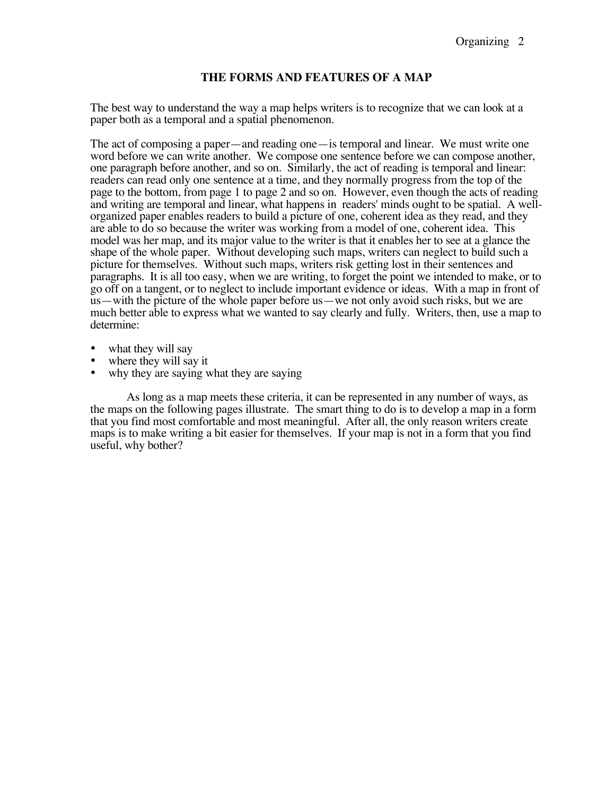# **THE FORMS AND FEATURES OF A MAP**

The best way to understand the way a map helps writers is to recognize that we can look at a paper both as a temporal and a spatial phenomenon.

The act of composing a paper—and reading one—is temporal and linear. We must write one word before we can write another. We compose one sentence before we can compose another, one paragraph before another, and so on. Similarly, the act of reading is temporal and linear: readers can read only one sentence at a time, and they normally progress from the top of the page to the bottom, from page 1 to page 2 and so on. However, even though the acts of reading and writing are temporal and linear, what happens in readers' minds ought to be spatial. A wellorganized paper enables readers to build a picture of one, coherent idea as they read, and they are able to do so because the writer was working from a model of one, coherent idea. This model was her map, and its major value to the writer is that it enables her to see at a glance the shape of the whole paper. Without developing such maps, writers can neglect to build such a picture for themselves. Without such maps, writers risk getting lost in their sentences and paragraphs. It is all too easy, when we are writing, to forget the point we intended to make, or to go off on a tangent, or to neglect to include important evidence or ideas. With a map in front of us—with the picture of the whole paper before us—we not only avoid such risks, but we are much better able to express what we wanted to say clearly and fully. Writers, then, use a map to determine:

- what they will say
- where they will say it
- why they are saying what they are saying

As long as a map meets these criteria, it can be represented in any number of ways, as the maps on the following pages illustrate. The smart thing to do is to develop a map in a form that you find most comfortable and most meaningful. After all, the only reason writers create maps is to make writing a bit easier for themselves. If your map is not in a form that you find useful, why bother?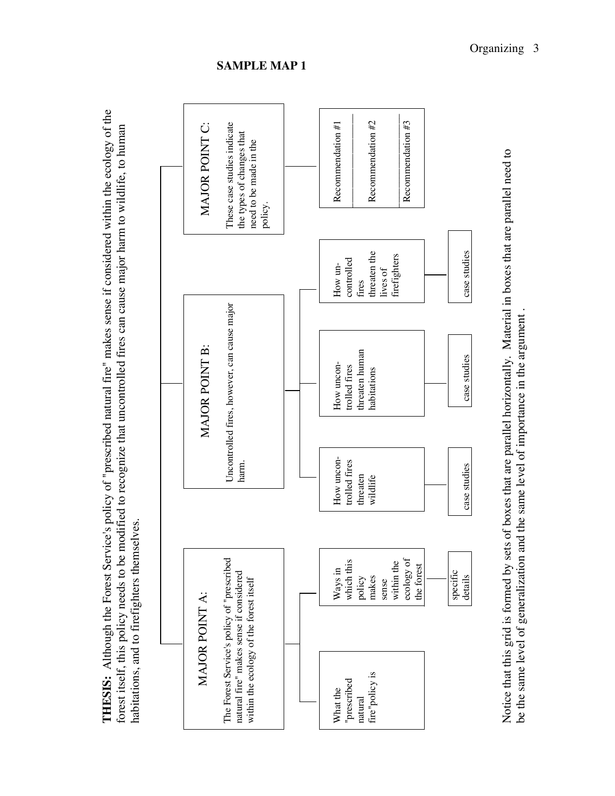



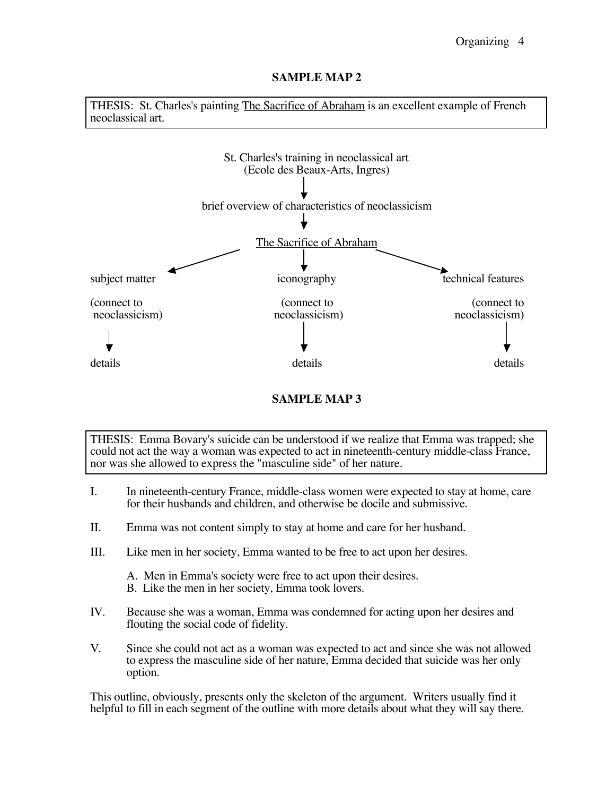THESIS: St. Charles's painting The Sacrifice of Abraham is an excellent example of French neoclassical art.



# **SAMPLE MAP 3**

THESIS: Emma Bovary's suicide can be understood if we realize that Emma was trapped; she could not act the way a woman was expected to act in nineteenth-century middle-class France, nor was she allowed to express the "masculine side" of her nature.

- I. In nineteenth-century France, middle-class women were expected to stay at home, care for their husbands and children, and otherwise be docile and submissive.
- II. Emma was not content simply to stay at home and care for her husband.
- III. Like men in her society, Emma wanted to be free to act upon her desires.
	- A. Men in Emma's society were free to act upon their desires.
	- B. Like the men in her society, Emma took lovers.
- IV. Because she was a woman, Emma was condemned for acting upon her desires and flouting the social code of fidelity.
- V. Since she could not act as a woman was expected to act and since she was not allowed to express the masculine side of her nature, Emma decided that suicide was her only option.

This outline, obviously, presents only the skeleton of the argument. Writers usually find it helpful to fill in each segment of the outline with more details about what they will say there.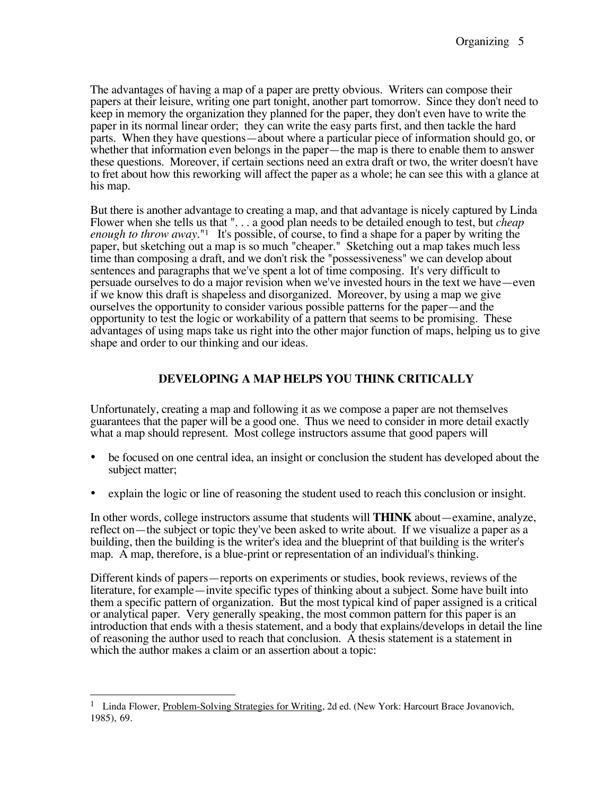The advantages of having a map of a paper are pretty obvious. Writers can compose their papers at their leisure, writing one part tonight, another part tomorrow. Since they don't need to keep in memory the organization they planned for the paper, they don't even have to write the paper in its normal linear order; they can write the easy parts first, and then tackle the hard parts. When they have questions—about where a particular piece of information should go, or whether that information even belongs in the paper—the map is there to enable them to answer these questions. Moreover, if certain sections need an extra draft or two, the writer doesn't have to fret about how this reworking will affect the paper as a whole; he can see this with a glance at his map.

But there is another advantage to creating a map, and that advantage is nicely captured by Linda Flower when she tells us that ". . . a good plan needs to be detailed enough to test, but *cheap enough to throw away.*"1 It's possible, of course, to find a shape for a paper by writing the paper, but sketching out a map is so much "cheaper." Sketching out a map takes much less time than composing a draft, and we don't risk the "possessiveness" we can develop about sentences and paragraphs that we've spent a lot of time composing. It's very difficult to persuade ourselves to do a major revision when we've invested hours in the text we have—even if we know this draft is shapeless and disorganized. Moreover, by using a map we give ourselves the opportunity to consider various possible patterns for the paper—and the opportunity to test the logic or workability of a pattern that seems to be promising. These advantages of using maps take us right into the other major function of maps, helping us to give shape and order to our thinking and our ideas.

# **DEVELOPING A MAP HELPS YOU THINK CRITICALLY**

Unfortunately, creating a map and following it as we compose a paper are not themselves guarantees that the paper will be a good one. Thus we need to consider in more detail exactly what a map should represent. Most college instructors assume that good papers will

- be focused on one central idea, an insight or conclusion the student has developed about the subject matter;
- explain the logic or line of reasoning the student used to reach this conclusion or insight.

In other words, college instructors assume that students will **THINK** about—examine, analyze, reflect on—the subject or topic they've been asked to write about. If we visualize a paper as a building, then the building is the writer's idea and the blueprint of that building is the writer's map. A map, therefore, is a blue-print or representation of an individual's thinking.

Different kinds of papers—reports on experiments or studies, book reviews, reviews of the literature, for example—invite specific types of thinking about a subject. Some have built into them a specific pattern of organization. But the most typical kind of paper assigned is a critical or analytical paper. Very generally speaking, the most common pattern for this paper is an introduction that ends with a thesis statement, and a body that explains/develops in detail the line of reasoning the author used to reach that conclusion. A thesis statement is a statement in which the author makes a claim or an assertion about a topic:

 $\overline{a}$ <sup>1</sup> Linda Flower, Problem-Solving Strategies for Writing, 2d ed. (New York: Harcourt Brace Jovanovich, 1985), 69.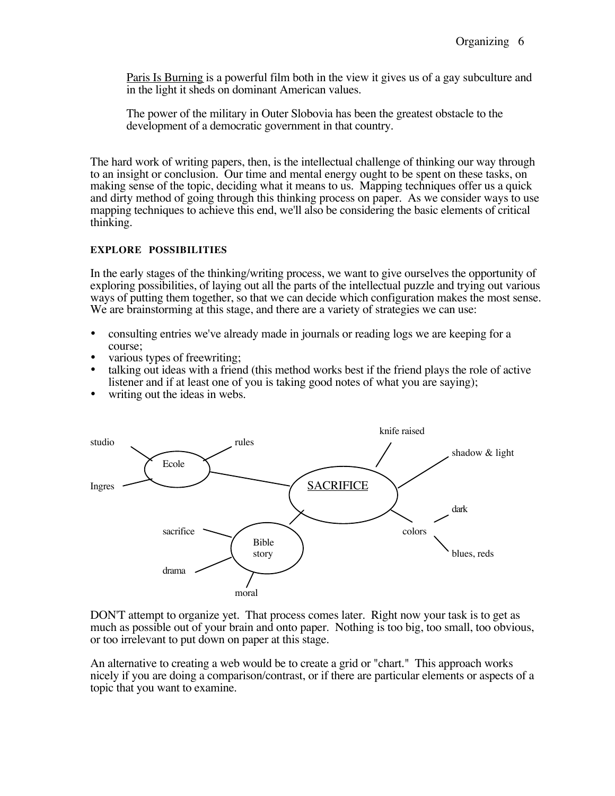Paris Is Burning is a powerful film both in the view it gives us of a gay subculture and in the light it sheds on dominant American values.

The power of the military in Outer Slobovia has been the greatest obstacle to the development of a democratic government in that country.

The hard work of writing papers, then, is the intellectual challenge of thinking our way through to an insight or conclusion. Our time and mental energy ought to be spent on these tasks, on making sense of the topic, deciding what it means to us. Mapping techniques offer us a quick and dirty method of going through this thinking process on paper. As we consider ways to use mapping techniques to achieve this end, we'll also be considering the basic elements of critical thinking.

#### **EXPLORE POSSIBILITIES**

In the early stages of the thinking/writing process, we want to give ourselves the opportunity of exploring possibilities, of laying out all the parts of the intellectual puzzle and trying out various ways of putting them together, so that we can decide which configuration makes the most sense. We are brainstorming at this stage, and there are a variety of strategies we can use:

- consulting entries we've already made in journals or reading logs we are keeping for a course;
- various types of freewriting;
- talking out ideas with a friend (this method works best if the friend plays the role of active listener and if at least one of you is taking good notes of what you are saying);
- writing out the ideas in webs.



DON'T attempt to organize yet. That process comes later. Right now your task is to get as much as possible out of your brain and onto paper. Nothing is too big, too small, too obvious, or too irrelevant to put down on paper at this stage.

An alternative to creating a web would be to create a grid or "chart." This approach works nicely if you are doing a comparison/contrast, or if there are particular elements or aspects of a topic that you want to examine.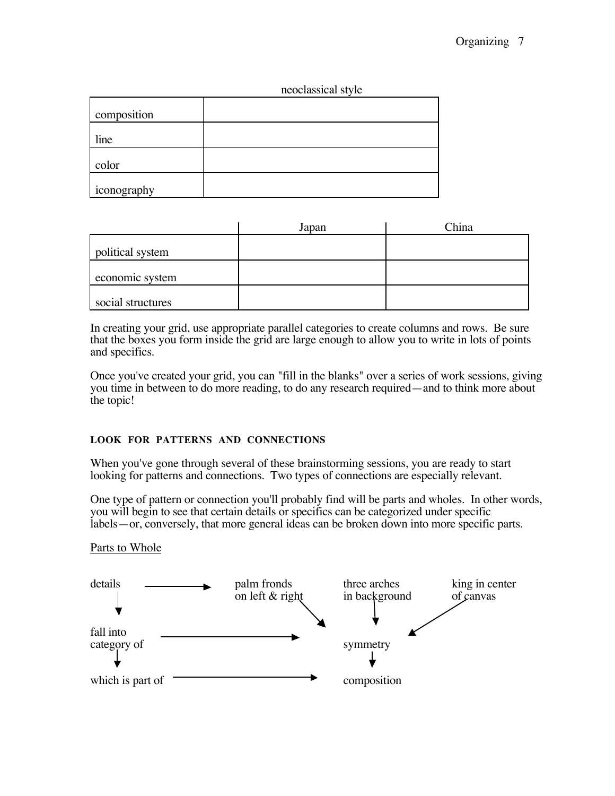| neoclassical style |  |
|--------------------|--|
|                    |  |

| composition |  |
|-------------|--|
| line        |  |
| color       |  |
| iconography |  |

|                   | Japan | China |
|-------------------|-------|-------|
| political system  |       |       |
| economic system   |       |       |
| social structures |       |       |

In creating your grid, use appropriate parallel categories to create columns and rows. Be sure that the boxes you form inside the grid are large enough to allow you to write in lots of points and specifics.

Once you've created your grid, you can "fill in the blanks" over a series of work sessions, giving you time in between to do more reading, to do any research required—and to think more about the topic!

## **LOOK FOR PATTERNS AND CONNECTIONS**

When you've gone through several of these brainstorming sessions, you are ready to start looking for patterns and connections. Two types of connections are especially relevant.

One type of pattern or connection you'll probably find will be parts and wholes. In other words, you will begin to see that certain details or specifics can be categorized under specific labels—or, conversely, that more general ideas can be broken down into more specific parts.

## Parts to Whole

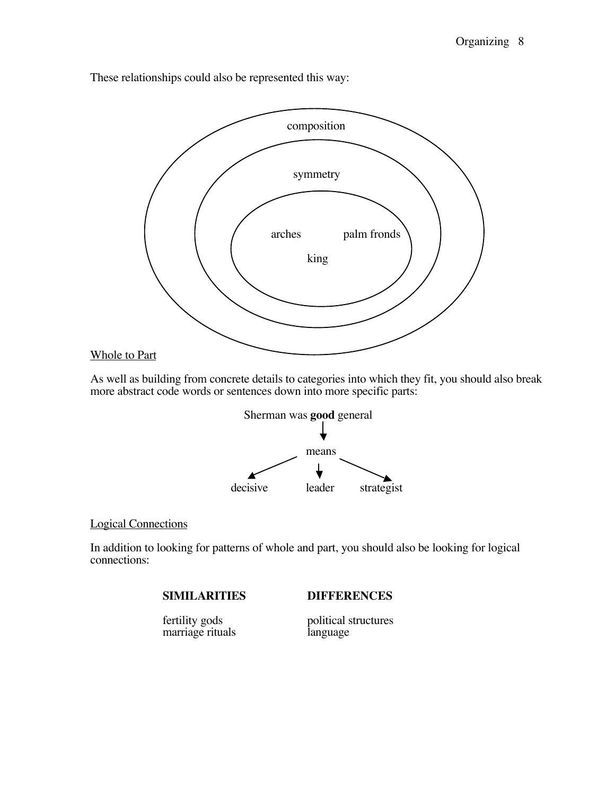These relationships could also be represented this way:



As well as building from concrete details to categories into which they fit, you should also break more abstract code words or sentences down into more specific parts:



# Logical Connections

In addition to looking for patterns of whole and part, you should also be looking for logical connections:

**SIMILARITIES DIFFERENCES**

marriage rituals

fertility gods<br>marriage rituals<br>language<br>language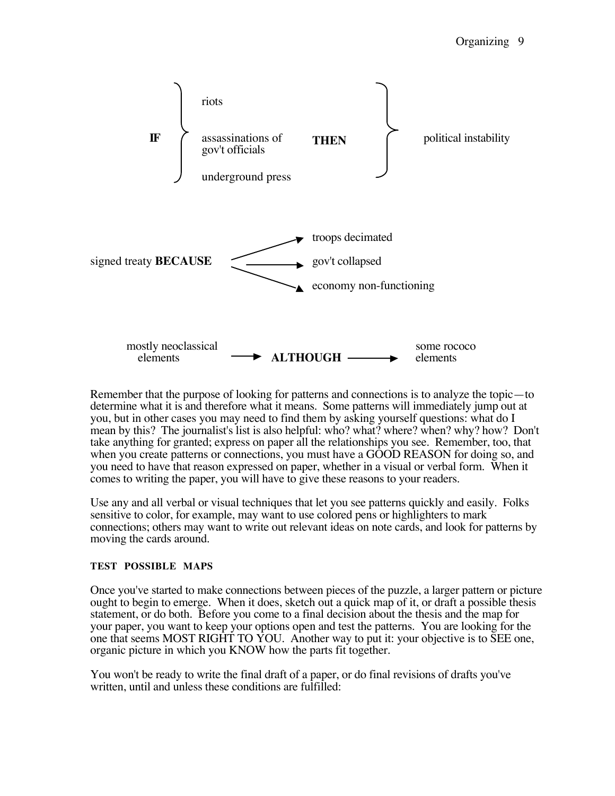

Remember that the purpose of looking for patterns and connections is to analyze the topic—to determine what it is and therefore what it means. Some patterns will immediately jump out at you, but in other cases you may need to find them by asking yourself questions: what do I mean by this? The journalist's list is also helpful: who? what? where? when? why? how? Don't take anything for granted; express on paper all the relationships you see. Remember, too, that when you create patterns or connections, you must have a GOOD REASON for doing so, and you need to have that reason expressed on paper, whether in a visual or verbal form. When it comes to writing the paper, you will have to give these reasons to your readers.

Use any and all verbal or visual techniques that let you see patterns quickly and easily. Folks sensitive to color, for example, may want to use colored pens or highlighters to mark connections; others may want to write out relevant ideas on note cards, and look for patterns by moving the cards around.

## **TEST POSSIBLE MAPS**

Once you've started to make connections between pieces of the puzzle, a larger pattern or picture ought to begin to emerge. When it does, sketch out a quick map of it, or draft a possible thesis statement, or do both. Before you come to a final decision about the thesis and the map for your paper, you want to keep your options open and test the patterns. You are looking for the one that seems MOST RIGHT TO YOU. Another way to put it: your objective is to SEE one, organic picture in which you KNOW how the parts fit together.

You won't be ready to write the final draft of a paper, or do final revisions of drafts you've written, until and unless these conditions are fulfilled: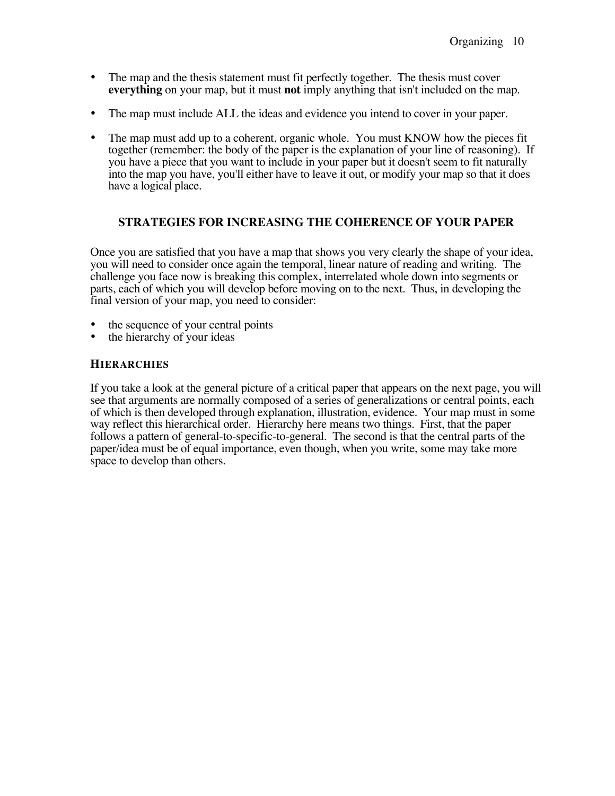- The map and the thesis statement must fit perfectly together. The thesis must cover **everything** on your map, but it must **not** imply anything that isn't included on the map.
- The map must include ALL the ideas and evidence you intend to cover in your paper.
- The map must add up to a coherent, organic whole. You must KNOW how the pieces fit together (remember: the body of the paper is the explanation of your line of reasoning). If you have a piece that you want to include in your paper but it doesn't seem to fit naturally into the map you have, you'll either have to leave it out, or modify your map so that it does have a logical place.

## **STRATEGIES FOR INCREASING THE COHERENCE OF YOUR PAPER**

Once you are satisfied that you have a map that shows you very clearly the shape of your idea, you will need to consider once again the temporal, linear nature of reading and writing. The challenge you face now is breaking this complex, interrelated whole down into segments or parts, each of which you will develop before moving on to the next. Thus, in developing the final version of your map, you need to consider:

- the sequence of your central points
- the hierarchy of your ideas

#### **HIERARCHIES**

If you take a look at the general picture of a critical paper that appears on the next page, you will see that arguments are normally composed of a series of generalizations or central points, each of which is then developed through explanation, illustration, evidence. Your map must in some way reflect this hierarchical order. Hierarchy here means two things. First, that the paper follows a pattern of general-to-specific-to-general. The second is that the central parts of the paper/idea must be of equal importance, even though, when you write, some may take more space to develop than others.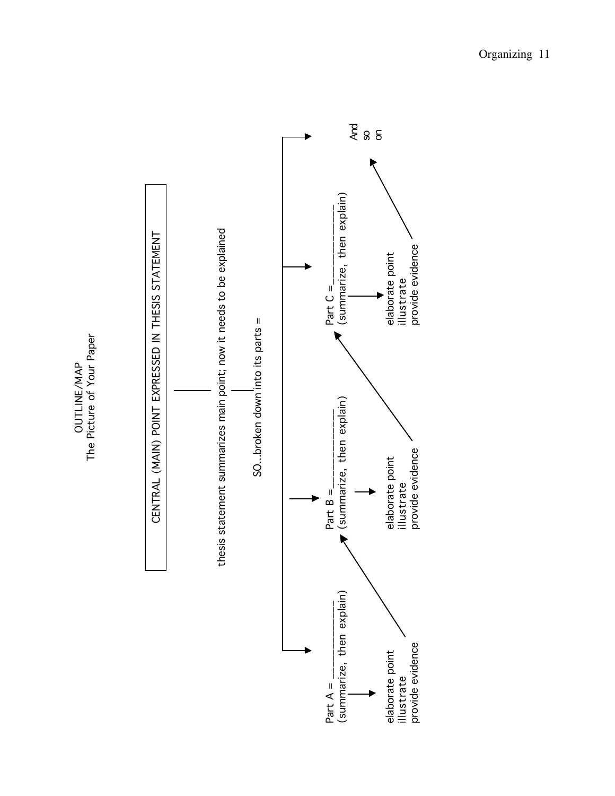The Picture of Your Paper The Picture of Your Paper OUTLINE/MAP OUTLINE/MAP

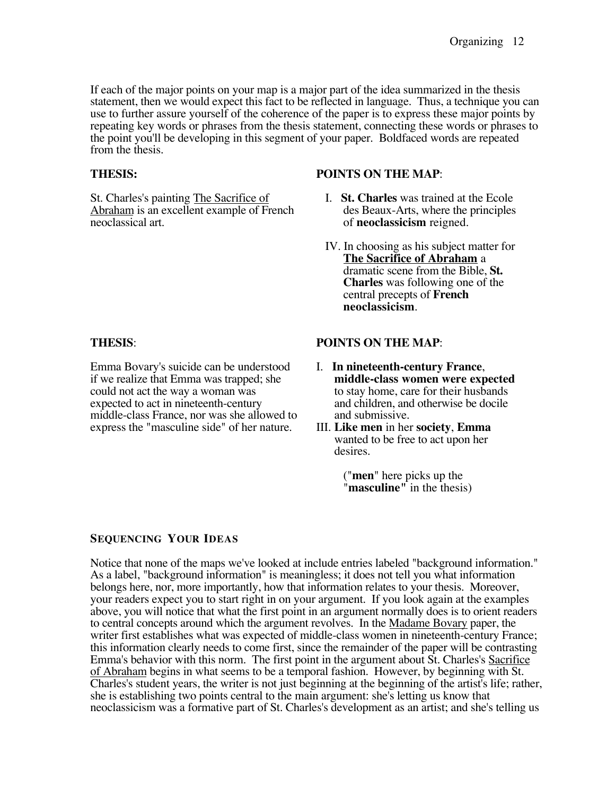If each of the major points on your map is a major part of the idea summarized in the thesis statement, then we would expect this fact to be reflected in language. Thus, a technique you can use to further assure yourself of the coherence of the paper is to express these major points by repeating key words or phrases from the thesis statement, connecting these words or phrases to the point you'll be developing in this segment of your paper. Boldfaced words are repeated from the thesis.

## **THESIS:**

St. Charles's painting The Sacrifice of Abraham is an excellent example of French neoclassical art.

#### **POINTS ON THE MAP**:

- I. **St. Charles** was trained at the Ecole des Beaux-Arts, where the principles of **neoclassicism** reigned.
- IV. In choosing as his subject matter for **The Sacrifice of Abraham** a dramatic scene from the Bible, **St. Charles** was following one of the central precepts of **French neoclassicism**.

#### **THESIS**:

Emma Bovary's suicide can be understood if we realize that Emma was trapped; she could not act the way a woman was expected to act in nineteenth-century middle-class France, nor was she allowed to express the "masculine side" of her nature.

#### **POINTS ON THE MAP**:

- I. **In nineteenth-century France**, **middle-class women were expected** to stay home, care for their husbands and children, and otherwise be docile and submissive.
- III. **Like men** in her **society**, **Emma** wanted to be free to act upon her desires.

("**men**" here picks up the "**masculine"** in the thesis)

## **SEQUENCING YOUR IDEAS**

Notice that none of the maps we've looked at include entries labeled "background information." As a label, "background information" is meaningless; it does not tell you what information belongs here, nor, more importantly, how that information relates to your thesis. Moreover, your readers expect you to start right in on your argument. If you look again at the examples above, you will notice that what the first point in an argument normally does is to orient readers to central concepts around which the argument revolves. In the Madame Bovary paper, the writer first establishes what was expected of middle-class women in nineteenth-century France; this information clearly needs to come first, since the remainder of the paper will be contrasting Emma's behavior with this norm. The first point in the argument about St. Charles's Sacrifice of Abraham begins in what seems to be a temporal fashion. However, by beginning with St. Charles's student years, the writer is not just beginning at the beginning of the artist's life; rather, she is establishing two points central to the main argument: she's letting us know that neoclassicism was a formative part of St. Charles's development as an artist; and she's telling us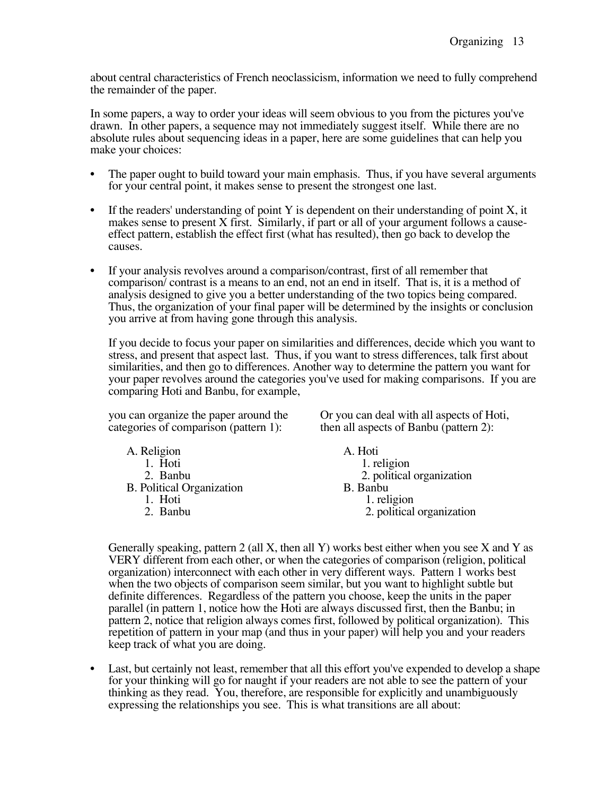about central characteristics of French neoclassicism, information we need to fully comprehend the remainder of the paper.

In some papers, a way to order your ideas will seem obvious to you from the pictures you've drawn. In other papers, a sequence may not immediately suggest itself. While there are no absolute rules about sequencing ideas in a paper, here are some guidelines that can help you make your choices:

- The paper ought to build toward your main emphasis. Thus, if you have several arguments for your central point, it makes sense to present the strongest one last.
- If the readers' understanding of point Y is dependent on their understanding of point  $X$ , it makes sense to present  $X$  first. Similarly, if part or all of your argument follows a causeeffect pattern, establish the effect first (what has resulted), then go back to develop the causes.
- If your analysis revolves around a comparison/contrast, first of all remember that comparison/ contrast is a means to an end, not an end in itself. That is, it is a method of analysis designed to give you a better understanding of the two topics being compared. Thus, the organization of your final paper will be determined by the insights or conclusion you arrive at from having gone through this analysis.

If you decide to focus your paper on similarities and differences, decide which you want to stress, and present that aspect last. Thus, if you want to stress differences, talk first about similarities, and then go to differences. Another way to determine the pattern you want for your paper revolves around the categories you've used for making comparisons. If you are comparing Hoti and Banbu, for example,

you can organize the paper around the categories of comparison (pattern 1):

Or you can deal with all aspects of Hoti, then all aspects of Banbu (pattern 2):

| A. Hoti                   |
|---------------------------|
| 1. religion               |
| 2. political organization |
| B. Banbu                  |
| 1. religion               |
| 2. political organization |
|                           |

Generally speaking, pattern 2 (all X, then all Y) works best either when you see X and Y as VERY different from each other, or when the categories of comparison (religion, political organization) interconnect with each other in very different ways. Pattern 1 works best when the two objects of comparison seem similar, but you want to highlight subtle but definite differences. Regardless of the pattern you choose, keep the units in the paper parallel (in pattern 1, notice how the Hoti are always discussed first, then the Banbu; in pattern 2, notice that religion always comes first, followed by political organization). This repetition of pattern in your map (and thus in your paper) will help you and your readers keep track of what you are doing.

Last, but certainly not least, remember that all this effort you've expended to develop a shape for your thinking will go for naught if your readers are not able to see the pattern of your thinking as they read. You, therefore, are responsible for explicitly and unambiguously expressing the relationships you see. This is what transitions are all about: